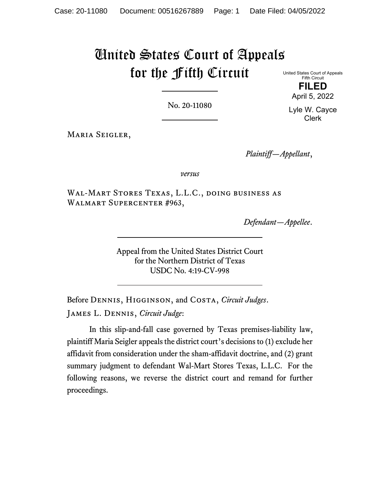# United States Court of Appeals for the Fifth Circuit

United States Court of Appeals Fifth Circuit **FILED**

April 5, 2022

No. 20-11080

Lyle W. Cayce Clerk

Maria Seigler,

*Plaintiff—Appellant*,

*versus*

Wal-Mart Stores Texas, L.L.C., doing business as Walmart Supercenter #963,

*Defendant—Appellee*.

Appeal from the United States District Court for the Northern District of Texas USDC No. 4:19-CV-998

Before Dennis, Higginson, and Costa, *Circuit Judges*. James L. Dennis, *Circuit Judge*:

In this slip-and-fall case governed by Texas premises-liability law, plaintiff Maria Seigler appeals the district court's decisions to (1) exclude her affidavit from consideration under the sham-affidavit doctrine, and (2) grant summary judgment to defendant Wal-Mart Stores Texas, L.L.C. For the following reasons, we reverse the district court and remand for further proceedings.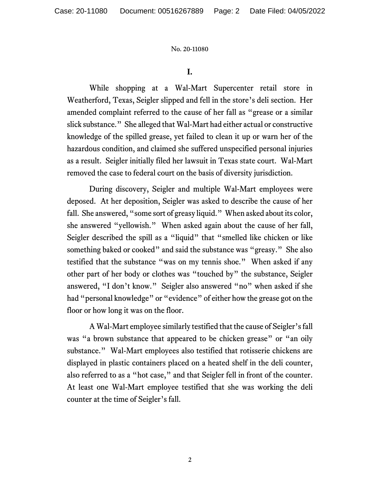#### **I.**

While shopping at a Wal-Mart Supercenter retail store in Weatherford, Texas, Seigler slipped and fell in the store's deli section. Her amended complaint referred to the cause of her fall as "grease or a similar slick substance." She alleged that Wal-Mart had either actual or constructive knowledge of the spilled grease, yet failed to clean it up or warn her of the hazardous condition, and claimed she suffered unspecified personal injuries as a result. Seigler initially filed her lawsuit in Texas state court. Wal-Mart removed the case to federal court on the basis of diversity jurisdiction.

During discovery, Seigler and multiple Wal-Mart employees were deposed. At her deposition, Seigler was asked to describe the cause of her fall. She answered, "some sort of greasy liquid." When asked about its color, she answered "yellowish." When asked again about the cause of her fall, Seigler described the spill as a "liquid" that "smelled like chicken or like something baked or cooked" and said the substance was "greasy." She also testified that the substance "was on my tennis shoe." When asked if any other part of her body or clothes was "touched by" the substance, Seigler answered, "I don't know." Seigler also answered "no" when asked if she had "personal knowledge" or "evidence" of either how the grease got on the floor or how long it was on the floor.

A Wal-Mart employee similarly testified that the cause of Seigler's fall was "a brown substance that appeared to be chicken grease" or "an oily substance." Wal-Mart employees also testified that rotisserie chickens are displayed in plastic containers placed on a heated shelf in the deli counter, also referred to as a "hot case," and that Seigler fell in front of the counter. At least one Wal-Mart employee testified that she was working the deli counter at the time of Seigler's fall.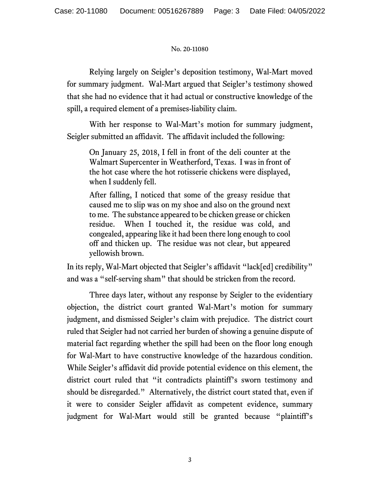Relying largely on Seigler's deposition testimony, Wal-Mart moved for summary judgment. Wal-Mart argued that Seigler's testimony showed that she had no evidence that it had actual or constructive knowledge of the spill, a required element of a premises-liability claim.

With her response to Wal-Mart's motion for summary judgment, Seigler submitted an affidavit. The affidavit included the following:

On January 25, 2018, I fell in front of the deli counter at the Walmart Supercenter in Weatherford, Texas. I was in front of the hot case where the hot rotisserie chickens were displayed, when I suddenly fell.

After falling, I noticed that some of the greasy residue that caused me to slip was on my shoe and also on the ground next to me. The substance appeared to be chicken grease or chicken residue. When I touched it, the residue was cold, and congealed, appearing like it had been there long enough to cool off and thicken up. The residue was not clear, but appeared yellowish brown.

In its reply, Wal-Mart objected that Seigler's affidavit "lack[ed] credibility" and was a "self-serving sham" that should be stricken from the record.

Three days later, without any response by Seigler to the evidentiary objection, the district court granted Wal-Mart's motion for summary judgment, and dismissed Seigler's claim with prejudice. The district court ruled that Seigler had not carried her burden of showing a genuine dispute of material fact regarding whether the spill had been on the floor long enough for Wal-Mart to have constructive knowledge of the hazardous condition. While Seigler's affidavit did provide potential evidence on this element, the district court ruled that "it contradicts plaintiff's sworn testimony and should be disregarded." Alternatively, the district court stated that, even if it were to consider Seigler affidavit as competent evidence, summary judgment for Wal-Mart would still be granted because "plaintiff's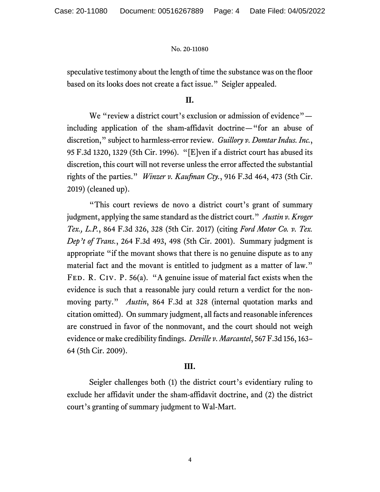speculative testimony about the length of time the substance was on the floor based on its looks does not create a fact issue." Seigler appealed.

#### **II.**

We "review a district court's exclusion or admission of evidence" including application of the sham-affidavit doctrine—"for an abuse of discretion," subject to harmless-error review. *Guillory v. Domtar Indus. Inc.*, 95 F.3d 1320, 1329 (5th Cir. 1996). "[E]ven if a district court has abused its discretion, this court will not reverse unless the error affected the substantial rights of the parties." *Winzer v. Kaufman Cty.*, 916 F.3d 464, 473 (5th Cir. 2019) (cleaned up).

"This court reviews de novo a district court's grant of summary judgment, applying the same standard as the district court." *Austin v. Kroger Tex., L.P.*, 864 F.3d 326, 328 (5th Cir. 2017) (citing *Ford Motor Co. v. Tex. Dep't of Trans.*, 264 F.3d 493, 498 (5th Cir. 2001). Summary judgment is appropriate "if the movant shows that there is no genuine dispute as to any material fact and the movant is entitled to judgment as a matter of law." FED. R. CIV. P. 56(a). "A genuine issue of material fact exists when the evidence is such that a reasonable jury could return a verdict for the nonmoving party." *Austin*, 864 F.3d at 328 (internal quotation marks and citation omitted). On summary judgment, all facts and reasonable inferences are construed in favor of the nonmovant, and the court should not weigh evidence or make credibility findings. *Deville v. Marcantel*, 567 F.3d 156, 163– 64 (5th Cir. 2009).

#### **III.**

Seigler challenges both (1) the district court's evidentiary ruling to exclude her affidavit under the sham-affidavit doctrine, and (2) the district court's granting of summary judgment to Wal-Mart.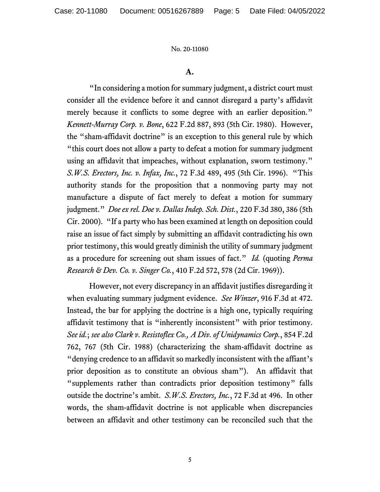#### **A.**

"In considering a motion for summary judgment, a district court must consider all the evidence before it and cannot disregard a party's affidavit merely because it conflicts to some degree with an earlier deposition." *Kennett-Murray Corp. v. Bone*, 622 F.2d 887, 893 (5th Cir. 1980). However, the "sham-affidavit doctrine" is an exception to this general rule by which "this court does not allow a party to defeat a motion for summary judgment using an affidavit that impeaches, without explanation, sworn testimony." *S.W.S. Erectors, Inc. v. Infax, Inc.*, 72 F.3d 489, 495 (5th Cir. 1996). "This authority stands for the proposition that a nonmoving party may not manufacture a dispute of fact merely to defeat a motion for summary judgment." *Doe ex rel. Doe v. Dallas Indep. Sch. Dist.*, 220 F.3d 380, 386 (5th Cir. 2000). "If a party who has been examined at length on deposition could raise an issue of fact simply by submitting an affidavit contradicting his own prior testimony, this would greatly diminish the utility of summary judgment as a procedure for screening out sham issues of fact." *Id.* (quoting *Perma Research & Dev. Co. v. Singer Co.*, 410 F.2d 572, 578 (2d Cir. 1969)).

However, not every discrepancy in an affidavit justifies disregarding it when evaluating summary judgment evidence. *See Winzer*, 916 F.3d at 472. Instead, the bar for applying the doctrine is a high one, typically requiring affidavit testimony that is "inherently inconsistent" with prior testimony. *See id.*; *see also Clark v. Resistoflex Co., A Div. of Unidynamics Corp.*, 854 F.2d 762, 767 (5th Cir. 1988) (characterizing the sham-affidavit doctrine as "denying credence to an affidavit so markedly inconsistent with the affiant's prior deposition as to constitute an obvious sham"). An affidavit that "supplements rather than contradicts prior deposition testimony" falls outside the doctrine's ambit. *S.W.S. Erectors, Inc.*, 72 F.3d at 496. In other words, the sham-affidavit doctrine is not applicable when discrepancies between an affidavit and other testimony can be reconciled such that the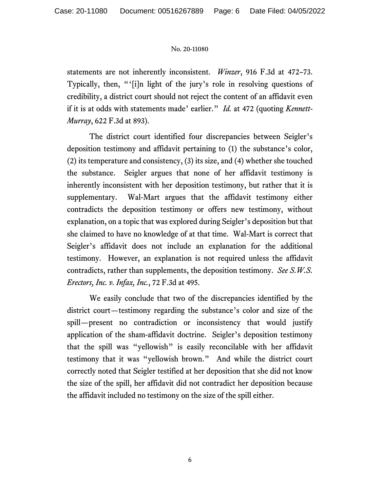statements are not inherently inconsistent. *Winzer*, 916 F.3d at 472–73. Typically, then, "'[i]n light of the jury's role in resolving questions of credibility, a district court should not reject the content of an affidavit even if it is at odds with statements made' earlier." *Id.* at 472 (quoting *Kennett-Murray*, 622 F.3d at 893).

The district court identified four discrepancies between Seigler's deposition testimony and affidavit pertaining to (1) the substance's color, (2) its temperature and consistency, (3) its size, and (4) whether she touched the substance. Seigler argues that none of her affidavit testimony is inherently inconsistent with her deposition testimony, but rather that it is supplementary. Wal-Mart argues that the affidavit testimony either contradicts the deposition testimony or offers new testimony, without explanation, on a topic that was explored during Seigler's deposition but that she claimed to have no knowledge of at that time. Wal-Mart is correct that Seigler's affidavit does not include an explanation for the additional testimony. However, an explanation is not required unless the affidavit contradicts, rather than supplements, the deposition testimony. *See S.W.S. Erectors, Inc. v. Infax, Inc.*, 72 F.3d at 495.

We easily conclude that two of the discrepancies identified by the district court—testimony regarding the substance's color and size of the spill—present no contradiction or inconsistency that would justify application of the sham-affidavit doctrine. Seigler's deposition testimony that the spill was "yellowish" is easily reconcilable with her affidavit testimony that it was "yellowish brown." And while the district court correctly noted that Seigler testified at her deposition that she did not know the size of the spill, her affidavit did not contradict her deposition because the affidavit included no testimony on the size of the spill either.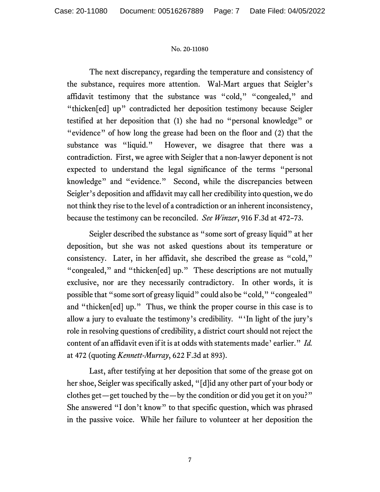The next discrepancy, regarding the temperature and consistency of the substance, requires more attention. Wal-Mart argues that Seigler's affidavit testimony that the substance was "cold," "congealed," and "thicken[ed] up" contradicted her deposition testimony because Seigler testified at her deposition that (1) she had no "personal knowledge" or "evidence" of how long the grease had been on the floor and (2) that the substance was "liquid." However, we disagree that there was a contradiction. First, we agree with Seigler that a non-lawyer deponent is not expected to understand the legal significance of the terms "personal knowledge" and "evidence." Second, while the discrepancies between Seigler's deposition and affidavit may call her credibility into question, we do not think they rise to the level of a contradiction or an inherent inconsistency, because the testimony can be reconciled. *See Winzer*, 916 F.3d at 472–73.

Seigler described the substance as "some sort of greasy liquid" at her deposition, but she was not asked questions about its temperature or consistency. Later, in her affidavit, she described the grease as "cold," "congealed," and "thicken[ed] up." These descriptions are not mutually exclusive, nor are they necessarily contradictory. In other words, it is possible that "some sort of greasy liquid" could also be "cold," "congealed" and "thicken[ed] up." Thus, we think the proper course in this case is to allow a jury to evaluate the testimony's credibility*.* "'In light of the jury's role in resolving questions of credibility, a district court should not reject the content of an affidavit even if it is at odds with statements made' earlier." *Id.* at 472 (quoting *Kennett-Murray*, 622 F.3d at 893).

Last, after testifying at her deposition that some of the grease got on her shoe, Seigler was specifically asked, "[d]id any other part of your body or clothes get—get touched by the—by the condition or did you get it on you?" She answered "I don't know" to that specific question, which was phrased in the passive voice. While her failure to volunteer at her deposition the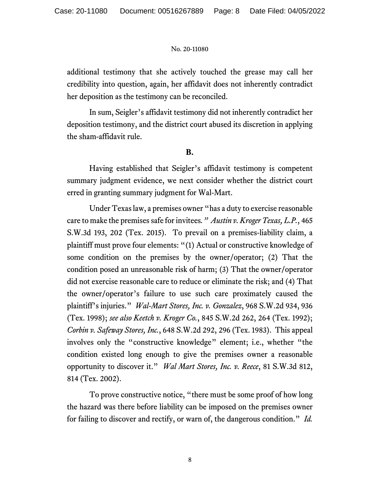additional testimony that she actively touched the grease may call her credibility into question, again, her affidavit does not inherently contradict her deposition as the testimony can be reconciled.

In sum, Seigler's affidavit testimony did not inherently contradict her deposition testimony, and the district court abused its discretion in applying the sham-affidavit rule.

### **B.**

Having established that Seigler's affidavit testimony is competent summary judgment evidence, we next consider whether the district court erred in granting summary judgment for Wal-Mart.

Under Texas law, a premises owner "has a duty to exercise reasonable care to make the premises safe for invitees*." Austin v. Kroger Texas, L.P.*, 465 S.W.3d 193, 202 (Tex. 2015). To prevail on a premises-liability claim, a plaintiff must prove four elements: "(1) Actual or constructive knowledge of some condition on the premises by the owner/operator; (2) That the condition posed an unreasonable risk of harm; (3) That the owner/operator did not exercise reasonable care to reduce or eliminate the risk; and (4) That the owner/operator's failure to use such care proximately caused the plaintiff's injuries." *Wal-Mart Stores, Inc. v. Gonzalez*, 968 S.W.2d 934, 936 (Tex. 1998); *see also Keetch v. Kroger Co.*, 845 S.W.2d 262, 264 (Tex. 1992); *Corbin v. Safeway Stores, Inc.*, 648 S.W.2d 292, 296 (Tex. 1983). This appeal involves only the "constructive knowledge" element; i.e., whether "the condition existed long enough to give the premises owner a reasonable opportunity to discover it." *Wal Mart Stores, Inc. v. Reece*, 81 S.W.3d 812, 814 (Tex. 2002).

To prove constructive notice, "there must be some proof of how long the hazard was there before liability can be imposed on the premises owner for failing to discover and rectify, or warn of, the dangerous condition." *Id.*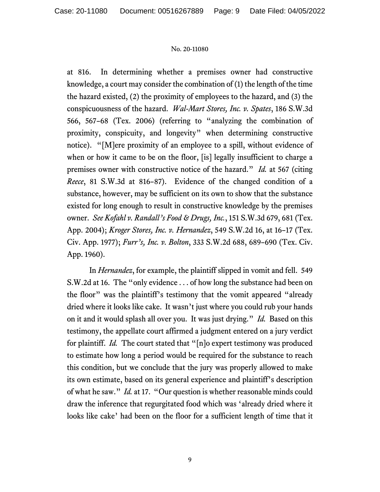at 816. In determining whether a premises owner had constructive knowledge, a court may consider the combination of (1) the length of the time the hazard existed, (2) the proximity of employees to the hazard, and (3) the conspicuousness of the hazard. *Wal-Mart Stores, Inc. v. Spates*, 186 S.W.3d 566, 567–68 (Tex. 2006) (referring to "analyzing the combination of proximity, conspicuity, and longevity" when determining constructive notice). "[M]ere proximity of an employee to a spill, without evidence of when or how it came to be on the floor, [is] legally insufficient to charge a premises owner with constructive notice of the hazard." *Id.* at 567 (citing *Reece*, 81 S.W.3d at 816–87). Evidence of the changed condition of a substance, however, may be sufficient on its own to show that the substance existed for long enough to result in constructive knowledge by the premises owner. *See Kofahl v. Randall's Food & Drugs, Inc.*, 151 S.W.3d 679, 681 (Tex. App. 2004); *Kroger Stores, Inc. v. Hernandez*, 549 S.W.2d 16, at 16–17 (Tex. Civ. App. 1977); *Furr's, Inc. v. Bolton*, 333 S.W.2d 688, 689–690 (Tex. Civ. App. 1960).

In *Hernandez*, for example, the plaintiff slipped in vomit and fell. 549 S.W.2d at 16. The "only evidence . . . of how long the substance had been on the floor" was the plaintiff's testimony that the vomit appeared "already dried where it looks like cake. It wasn't just where you could rub your hands on it and it would splash all over you. It was just drying." *Id.* Based on this testimony, the appellate court affirmed a judgment entered on a jury verdict for plaintiff. *Id.* The court stated that "[n]o expert testimony was produced to estimate how long a period would be required for the substance to reach this condition, but we conclude that the jury was properly allowed to make its own estimate, based on its general experience and plaintiff's description of what he saw." *Id.* at 17. "Our question is whether reasonable minds could draw the inference that regurgitated food which was 'already dried where it looks like cake' had been on the floor for a sufficient length of time that it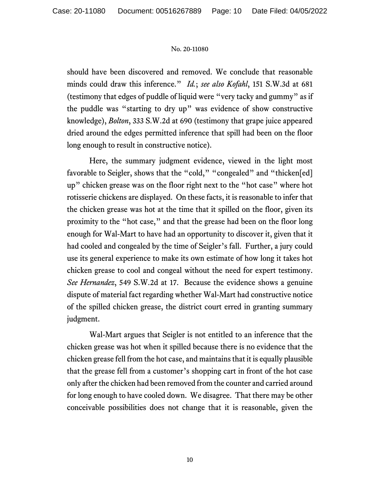should have been discovered and removed. We conclude that reasonable minds could draw this inference." *Id.*; *see also Kofahl*, 151 S.W.3d at 681 (testimony that edges of puddle of liquid were "very tacky and gummy" as if the puddle was "starting to dry up" was evidence of show constructive knowledge), *Bolton*, 333 S.W.2d at 690 (testimony that grape juice appeared dried around the edges permitted inference that spill had been on the floor long enough to result in constructive notice).

Here, the summary judgment evidence, viewed in the light most favorable to Seigler, shows that the "cold," "congealed" and "thicken[ed] up" chicken grease was on the floor right next to the "hot case" where hot rotisserie chickens are displayed. On these facts, it is reasonable to infer that the chicken grease was hot at the time that it spilled on the floor, given its proximity to the "hot case," and that the grease had been on the floor long enough for Wal-Mart to have had an opportunity to discover it, given that it had cooled and congealed by the time of Seigler's fall. Further, a jury could use its general experience to make its own estimate of how long it takes hot chicken grease to cool and congeal without the need for expert testimony. *See Hernandez*, 549 S.W.2d at 17. Because the evidence shows a genuine dispute of material fact regarding whether Wal-Mart had constructive notice of the spilled chicken grease, the district court erred in granting summary judgment.

Wal-Mart argues that Seigler is not entitled to an inference that the chicken grease was hot when it spilled because there is no evidence that the chicken grease fell from the hot case, and maintains that it is equally plausible that the grease fell from a customer's shopping cart in front of the hot case only after the chicken had been removed from the counter and carried around for long enough to have cooled down. We disagree. That there may be other conceivable possibilities does not change that it is reasonable, given the